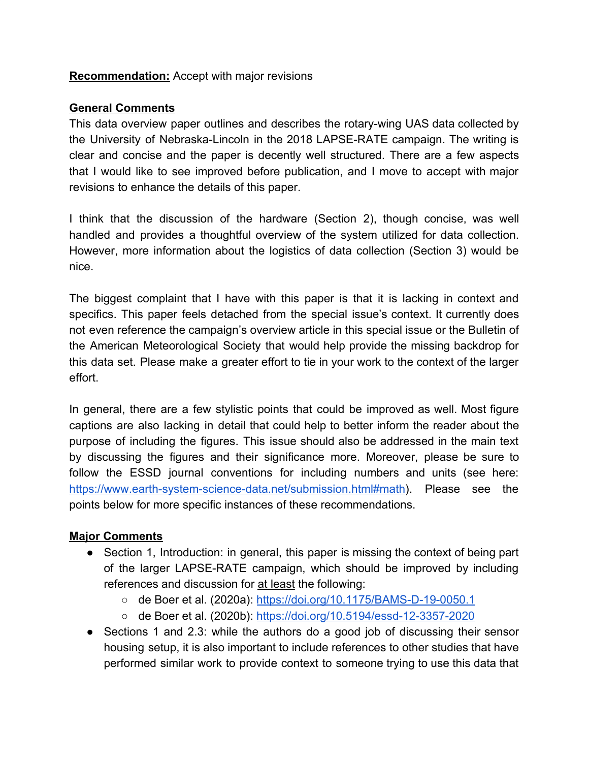## **Recommendation:** Accept with major revisions

## **General Comments**

This data overview paper outlines and describes the rotary-wing UAS data collected by the University of Nebraska-Lincoln in the 2018 LAPSE-RATE campaign. The writing is clear and concise and the paper is decently well structured. There are a few aspects that I would like to see improved before publication, and I move to accept with major revisions to enhance the details of this paper.

I think that the discussion of the hardware (Section 2), though concise, was well handled and provides a thoughtful overview of the system utilized for data collection. However, more information about the logistics of data collection (Section 3) would be nice.

The biggest complaint that I have with this paper is that it is lacking in context and specifics. This paper feels detached from the special issue's context. It currently does not even reference the campaign's overview article in this special issue or the Bulletin of the American Meteorological Society that would help provide the missing backdrop for this data set. Please make a greater effort to tie in your work to the context of the larger effort.

In general, there are a few stylistic points that could be improved as well. Most figure captions are also lacking in detail that could help to better inform the reader about the purpose of including the figures. This issue should also be addressed in the main text by discussing the figures and their significance more. Moreover, please be sure to follow the ESSD journal conventions for including numbers and units (see here: [https://www.earth-system-science-data.net/submission.html#math\)](https://www.earth-system-science-data.net/submission.html#math). Please see the points below for more specific instances of these recommendations.

## **Major Comments**

- Section 1, Introduction: in general, this paper is missing the context of being part of the larger LAPSE-RATE campaign, which should be improved by including references and discussion for at least the following:
	- de Boer et al. (2020a): <https://doi.org/10.1175/BAMS-D-19-0050.1>
	- de Boer et al. (2020b): <https://doi.org/10.5194/essd-12-3357-2020>
- Sections 1 and 2.3: while the authors do a good job of discussing their sensor housing setup, it is also important to include references to other studies that have performed similar work to provide context to someone trying to use this data that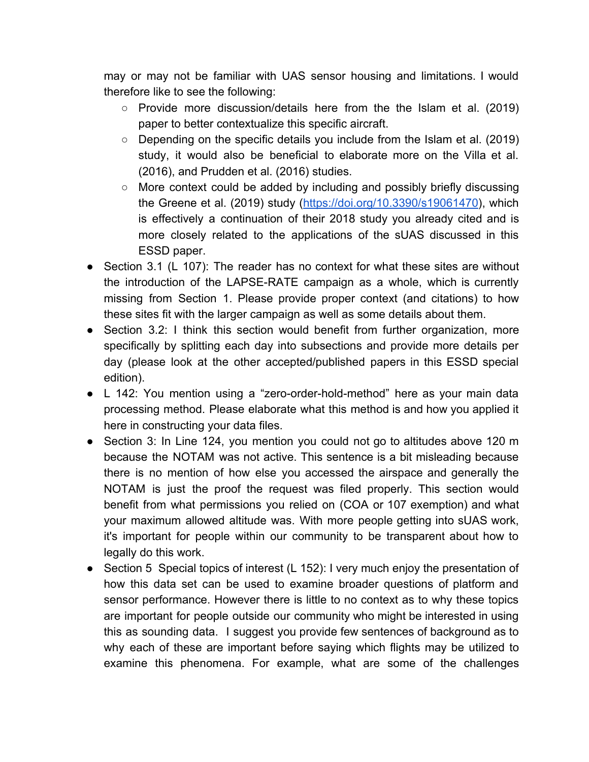may or may not be familiar with UAS sensor housing and limitations. I would therefore like to see the following:

- Provide more discussion/details here from the the Islam et al. (2019) paper to better contextualize this specific aircraft.
- $\circ$  Depending on the specific details you include from the Islam et al. (2019) study, it would also be beneficial to elaborate more on the Villa et al. (2016), and Prudden et al. (2016) studies.
- More context could be added by including and possibly briefly discussing the Greene et al. (2019) study [\(https://doi.org/10.3390/s19061470](https://doi.org/10.3390/s19061470)), which is effectively a continuation of their 2018 study you already cited and is more closely related to the applications of the sUAS discussed in this ESSD paper.
- Section 3.1 (L 107): The reader has no context for what these sites are without the introduction of the LAPSE-RATE campaign as a whole, which is currently missing from Section 1. Please provide proper context (and citations) to how these sites fit with the larger campaign as well as some details about them.
- Section 3.2: I think this section would benefit from further organization, more specifically by splitting each day into subsections and provide more details per day (please look at the other accepted/published papers in this ESSD special edition).
- L 142: You mention using a "zero-order-hold-method" here as your main data processing method. Please elaborate what this method is and how you applied it here in constructing your data files.
- Section 3: In Line 124, you mention you could not go to altitudes above 120 m because the NOTAM was not active. This sentence is a bit misleading because there is no mention of how else you accessed the airspace and generally the NOTAM is just the proof the request was filed properly. This section would benefit from what permissions you relied on (COA or 107 exemption) and what your maximum allowed altitude was. With more people getting into sUAS work, it's important for people within our community to be transparent about how to legally do this work.
- Section 5 Special topics of interest (L 152): I very much enjoy the presentation of how this data set can be used to examine broader questions of platform and sensor performance. However there is little to no context as to why these topics are important for people outside our community who might be interested in using this as sounding data. I suggest you provide few sentences of background as to why each of these are important before saying which flights may be utilized to examine this phenomena. For example, what are some of the challenges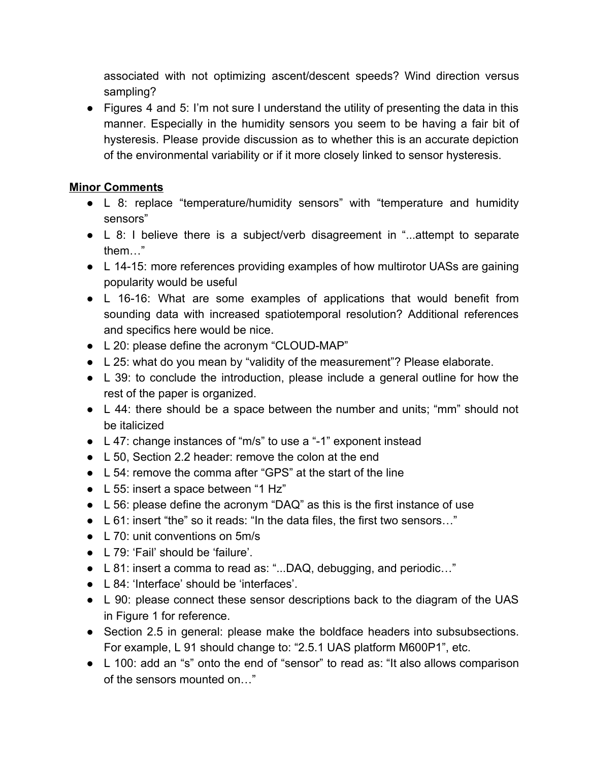associated with not optimizing ascent/descent speeds? Wind direction versus sampling?

● Figures 4 and 5: I'm not sure I understand the utility of presenting the data in this manner. Especially in the humidity sensors you seem to be having a fair bit of hysteresis. Please provide discussion as to whether this is an accurate depiction of the environmental variability or if it more closely linked to sensor hysteresis.

## **Minor Comments**

- L 8: replace "temperature/humidity sensors" with "temperature and humidity sensors"
- L 8: I believe there is a subject/verb disagreement in "...attempt to separate them…"
- L 14-15: more references providing examples of how multirotor UASs are gaining popularity would be useful
- L 16-16: What are some examples of applications that would benefit from sounding data with increased spatiotemporal resolution? Additional references and specifics here would be nice.
- L 20: please define the acronym "CLOUD-MAP"
- L 25: what do you mean by "validity of the measurement"? Please elaborate.
- L 39: to conclude the introduction, please include a general outline for how the rest of the paper is organized.
- L 44: there should be a space between the number and units; "mm" should not be italicized
- L 47: change instances of "m/s" to use a "-1" exponent instead
- L 50, Section 2.2 header: remove the colon at the end
- L 54: remove the comma after "GPS" at the start of the line
- L 55: insert a space between "1 Hz"
- L 56: please define the acronym "DAQ" as this is the first instance of use
- L 61: insert "the" so it reads: "In the data files, the first two sensors…"
- L 70: unit conventions on 5m/s
- L 79: 'Fail' should be 'failure'.
- L 81: insert a comma to read as: "...DAQ, debugging, and periodic..."
- L 84: 'Interface' should be 'interfaces'.
- L 90: please connect these sensor descriptions back to the diagram of the UAS in Figure 1 for reference.
- Section 2.5 in general: please make the boldface headers into subsubsections. For example, L 91 should change to: "2.5.1 UAS platform M600P1", etc.
- L 100: add an "s" onto the end of "sensor" to read as: "It also allows comparison of the sensors mounted on…"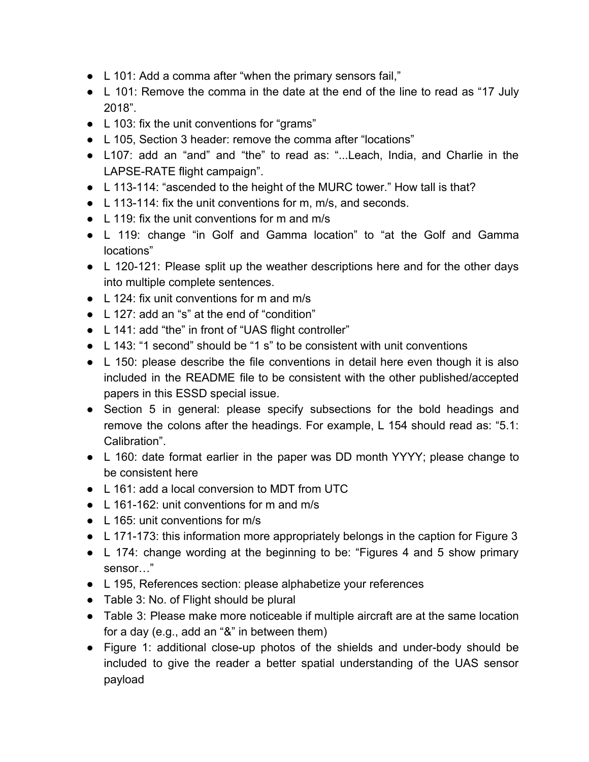- L 101: Add a comma after "when the primary sensors fail,"
- L 101: Remove the comma in the date at the end of the line to read as "17 July 2018".
- L 103: fix the unit conventions for "grams"
- L 105, Section 3 header: remove the comma after "locations"
- L107: add an "and" and "the" to read as: "...Leach, India, and Charlie in the LAPSE-RATE flight campaign".
- L 113-114: "ascended to the height of the MURC tower." How tall is that?
- L 113-114: fix the unit conventions for m, m/s, and seconds.
- $\bullet$  L 119; fix the unit conventions for m and m/s
- L 119: change "in Golf and Gamma location" to "at the Golf and Gamma locations"
- L 120-121: Please split up the weather descriptions here and for the other days into multiple complete sentences.
- L 124: fix unit conventions for m and m/s
- L 127: add an "s" at the end of "condition"
- L 141: add "the" in front of "UAS flight controller"
- L 143: "1 second" should be "1 s" to be consistent with unit conventions
- L 150: please describe the file conventions in detail here even though it is also included in the README file to be consistent with the other published/accepted papers in this ESSD special issue.
- Section 5 in general: please specify subsections for the bold headings and remove the colons after the headings. For example, L 154 should read as: "5.1: Calibration".
- L 160: date format earlier in the paper was DD month YYYY; please change to be consistent here
- L 161: add a local conversion to MDT from UTC
- $\bullet$  L 161-162: unit conventions for m and m/s
- L 165: unit conventions for m/s
- L 171-173: this information more appropriately belongs in the caption for Figure 3
- L 174: change wording at the beginning to be: "Figures 4 and 5 show primary sensor…"
- L 195, References section: please alphabetize your references
- Table 3: No. of Flight should be plural
- Table 3: Please make more noticeable if multiple aircraft are at the same location for a day (e.g., add an "&" in between them)
- Figure 1: additional close-up photos of the shields and under-body should be included to give the reader a better spatial understanding of the UAS sensor payload